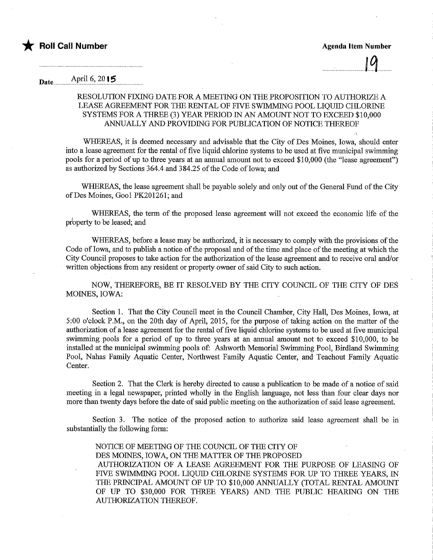.1

## Date................AiPril.6'..20.15..

## RESOLUTION FIXING DATE FOR A MEETING ON THE PROPOSITION TO AUTHORIZE A LEASE AGREEMENT FOR THE RENTAL OF FWE SWIMMING POOL LIQUID CHLOMNE SYSTEMS FOR A THREE (3) YEAR PERIOD IN AN AMOUNT NOT TO EXCEED \$10,000 ANNUALLY AND PROVIDING FOR PUBLICATION OF NOTICE THEREOF

WHEREAS, it is deemed necessary and advisable that the City of Des Moines, Iowa, should enter into a lease agreement for the rental of five liquid chlorine systems to be used at five municipal swimming pools for a period of up to three years at an annual amount not to exceed \$10,000 (the "lease agreement") as authorized by Sections 364.4 and 384.25 of the Code of Iowa; and

WHEREAS, the lease agreement shall be payable solely and only out of the General Fund of the City ofDes Moines, Gool PK201261; and

WHEREAS, the term of the proposed lease agreement will not exceed the economic life of the property to be leased; and

WHEREAS, before a lease may be authorized, it is necessary to comply with the provisions of the Code of Iowa, and to publish a notice of the proposal and of the time and place of the meeting at which the City Council proposes to take action for the authorization of the lease agreement and to receive oral and/or written objections from any resident or property owner of said City to such action.

NOW, THEREFORE, BE IT RESOLVED BY THE CITY COUNCIL OF THE CITY OF DES MOINES, IOWA:

Section 1. That the City Council meet in the Council Chamber, City Hall, Des Moines, Iowa, at 5:00 o'clock P.M., on the 20fh day of April, 2015, for the purpose of taking action on the matter of the authorization of a lease agreement for the rental of five liquid chlorine systems to be used at five municipal swimming pools for a period of up to three years at an annual amount not to exceed \$10,000, to be installed at the municipal swimming pools of: Ashworth Memorial Swimming Pool, Birdland Swimming Pool, Nahas Family Aquatic Center, Northwest Family Aquatic Center, and Teachout Family Aquatic Center.

Section 2. That the Clerk is hereby directed to cause a publication to be made of a notice of said meeting in a legal newspaper, printed wholly in the English language, not less than four clear days nor more than twenty days before the date of said public meeting on the authorization of said lease agreement.

Section 3. The notice of the proposed action to authorize said lease agreement shall be in substantially the following form:

NOTICE OF MEETING OF THE COUNCIL OF THE CITY OF DES MOINES, IOWA, ON THE MATTER OF THE PROPOSED AUTHORIZATION OF A LEASE AGREEMENT FOR THE PURPOSE OF LEASING OF FWE SWIMMING POOL LIQUID CHLORINE SYSTEMS FOR UP TO THREE YEARS, IN THE PRINCIPAL AMOUNT OF UP TO \$10,000 ANNUALLY (TOTAL RENTAL AMOUNT OF UP TO \$30,000 FOR THREE YEARS) AND THE PUBLIC HEARING ON THE AUTHORIZATION THEREOF.